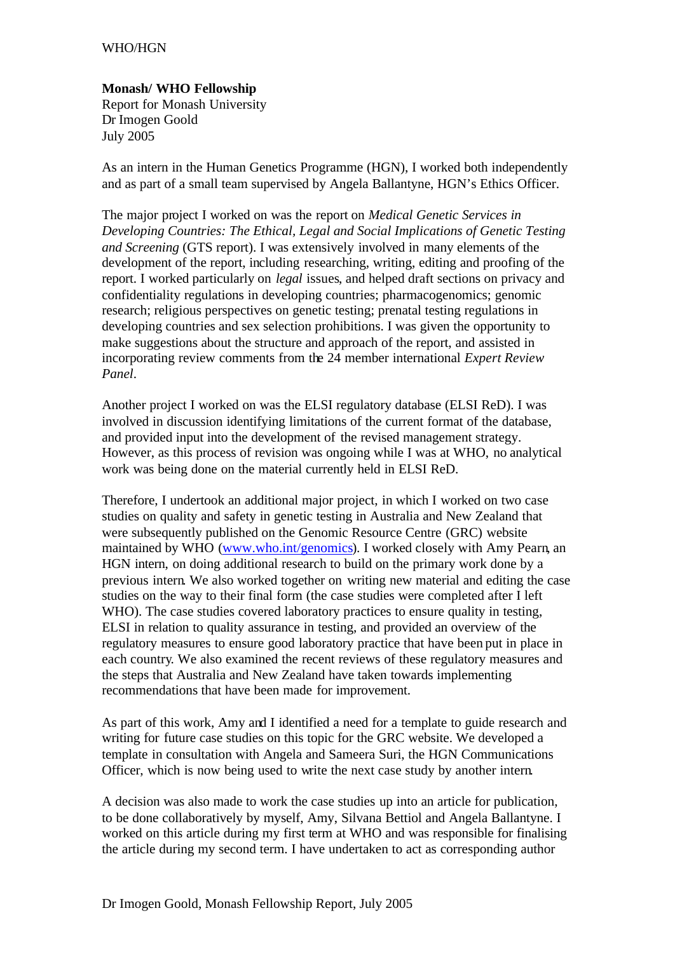## WHO/HGN

## **Monash/ WHO Fellowship**

Report for Monash University Dr Imogen Goold July 2005

As an intern in the Human Genetics Programme (HGN), I worked both independently and as part of a small team supervised by Angela Ballantyne, HGN's Ethics Officer.

The major project I worked on was the report on *Medical Genetic Services in Developing Countries: The Ethical, Legal and Social Implications of Genetic Testing and Screening* (GTS report). I was extensively involved in many elements of the development of the report, including researching, writing, editing and proofing of the report. I worked particularly on *legal* issues, and helped draft sections on privacy and confidentiality regulations in developing countries; pharmacogenomics; genomic research; religious perspectives on genetic testing; prenatal testing regulations in developing countries and sex selection prohibitions. I was given the opportunity to make suggestions about the structure and approach of the report, and assisted in incorporating review comments from the 24 member international *Expert Review Panel*.

Another project I worked on was the ELSI regulatory database (ELSI ReD). I was involved in discussion identifying limitations of the current format of the database, and provided input into the development of the revised management strategy. However, as this process of revision was ongoing while I was at WHO, no analytical work was being done on the material currently held in ELSI ReD.

Therefore, I undertook an additional major project, in which I worked on two case studies on quality and safety in genetic testing in Australia and New Zealand that were subsequently published on the Genomic Resource Centre (GRC) website maintained by WHO (www.who.int/genomics). I worked closely with Amy Pearn, an HGN intern, on doing additional research to build on the primary work done by a previous intern. We also worked together on writing new material and editing the case studies on the way to their final form (the case studies were completed after I left WHO). The case studies covered laboratory practices to ensure quality in testing, ELSI in relation to quality assurance in testing, and provided an overview of the regulatory measures to ensure good laboratory practice that have been put in place in each country. We also examined the recent reviews of these regulatory measures and the steps that Australia and New Zealand have taken towards implementing recommendations that have been made for improvement.

As part of this work, Amy and I identified a need for a template to guide research and writing for future case studies on this topic for the GRC website. We developed a template in consultation with Angela and Sameera Suri, the HGN Communications Officer, which is now being used to write the next case study by another intern.

A decision was also made to work the case studies up into an article for publication, to be done collaboratively by myself, Amy, Silvana Bettiol and Angela Ballantyne. I worked on this article during my first term at WHO and was responsible for finalising the article during my second term. I have undertaken to act as corresponding author